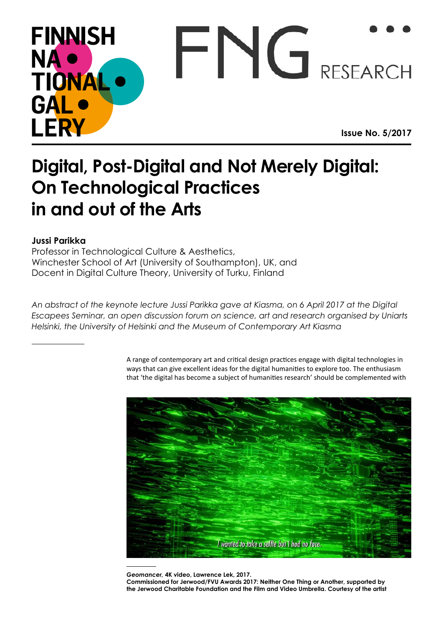## **FINNISH** FNG RESEARCH NA · TIONAL **GAL LERY Issue No. 5/2017**

## **Digital, Post-Digital and Not Merely Digital: On Technological Practices in and out of the Arts**

## **Jussi Parikka**

Professor in Technological Culture & Aesthetics, Winchester School of Art (University of Southampton), UK, and Docent in Digital Culture Theory, University of Turku, Finland

*An abstract of the keynote lecture Jussi Parikka gave at Kiasma, on 6 April 2017 at the Digital Escapees Seminar, an open discussion forum on science, art and research organised by Uniarts Helsinki, the University of Helsinki and the Museum of Contemporary Art Kiasma*

> A range of contemporary art and critical design practices engage with digital technologies in ways that can give excellent ideas for the digital humanities to explore too. The enthusiasm that 'the digital has become a subject of humanities research' should be complemented with



*Geomancer,* **4K video, Lawrence Lek, 2017.** 

**Commissioned for Jerwood/FVU Awards 2017: Neither One Thing or Another, supported by the Jerwood Charitable Foundation and the Film and Video Umbrella. Courtesy of the artist**